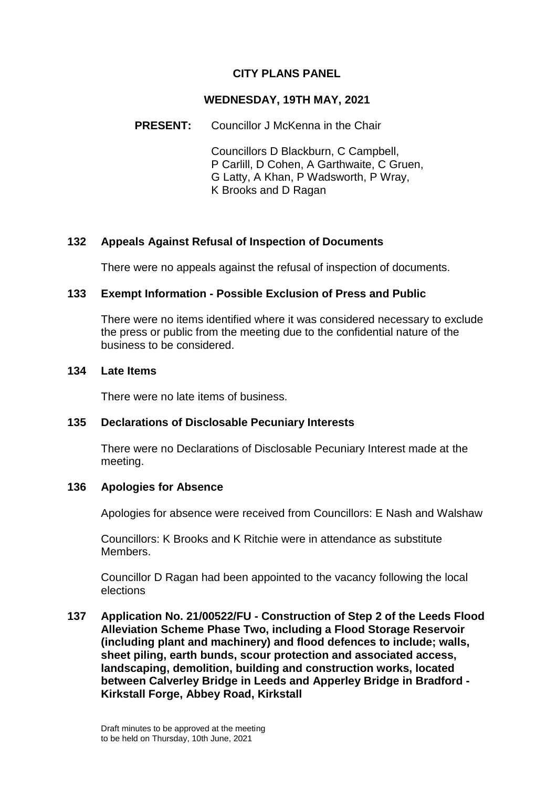# **CITY PLANS PANEL**

### **WEDNESDAY, 19TH MAY, 2021**

### **PRESENT:** Councillor J McKenna in the Chair

Councillors D Blackburn, C Campbell, P Carlill, D Cohen, A Garthwaite, C Gruen, G Latty, A Khan, P Wadsworth, P Wray, K Brooks and D Ragan

## **132 Appeals Against Refusal of Inspection of Documents**

There were no appeals against the refusal of inspection of documents.

## **133 Exempt Information - Possible Exclusion of Press and Public**

There were no items identified where it was considered necessary to exclude the press or public from the meeting due to the confidential nature of the business to be considered.

#### **134 Late Items**

There were no late items of business.

## **135 Declarations of Disclosable Pecuniary Interests**

There were no Declarations of Disclosable Pecuniary Interest made at the meeting.

## **136 Apologies for Absence**

Apologies for absence were received from Councillors: E Nash and Walshaw

Councillors: K Brooks and K Ritchie were in attendance as substitute Members.

Councillor D Ragan had been appointed to the vacancy following the local elections

**137 Application No. 21/00522/FU - Construction of Step 2 of the Leeds Flood Alleviation Scheme Phase Two, including a Flood Storage Reservoir (including plant and machinery) and flood defences to include; walls, sheet piling, earth bunds, scour protection and associated access, landscaping, demolition, building and construction works, located between Calverley Bridge in Leeds and Apperley Bridge in Bradford - Kirkstall Forge, Abbey Road, Kirkstall**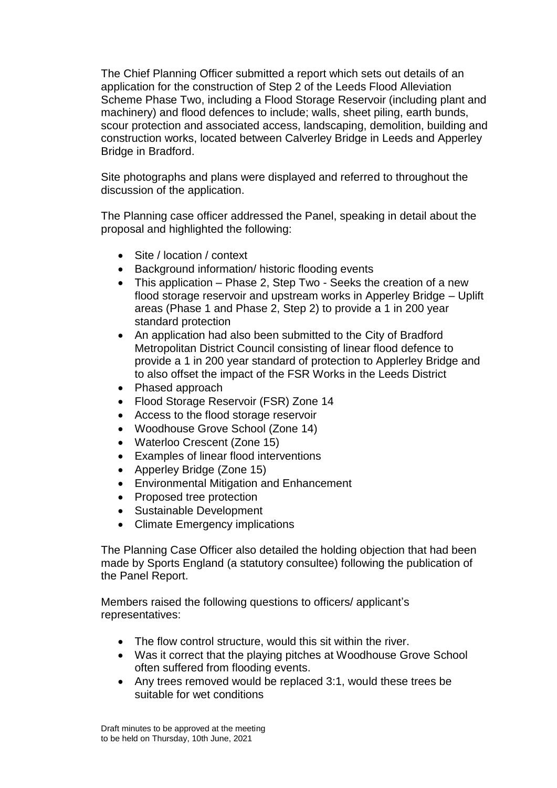The Chief Planning Officer submitted a report which sets out details of an application for the construction of Step 2 of the Leeds Flood Alleviation Scheme Phase Two, including a Flood Storage Reservoir (including plant and machinery) and flood defences to include; walls, sheet piling, earth bunds, scour protection and associated access, landscaping, demolition, building and construction works, located between Calverley Bridge in Leeds and Apperley Bridge in Bradford.

Site photographs and plans were displayed and referred to throughout the discussion of the application.

The Planning case officer addressed the Panel, speaking in detail about the proposal and highlighted the following:

- Site / location / context
- Background information/ historic flooding events
- This application Phase 2, Step Two Seeks the creation of a new flood storage reservoir and upstream works in Apperley Bridge – Uplift areas (Phase 1 and Phase 2, Step 2) to provide a 1 in 200 year standard protection
- An application had also been submitted to the City of Bradford Metropolitan District Council consisting of linear flood defence to provide a 1 in 200 year standard of protection to Applerley Bridge and to also offset the impact of the FSR Works in the Leeds District
- Phased approach
- Flood Storage Reservoir (FSR) Zone 14
- Access to the flood storage reservoir
- Woodhouse Grove School (Zone 14)
- Waterloo Crescent (Zone 15)
- Examples of linear flood interventions
- Apperley Bridge (Zone 15)
- Environmental Mitigation and Enhancement
- Proposed tree protection
- Sustainable Development
- Climate Emergency implications

The Planning Case Officer also detailed the holding objection that had been made by Sports England (a statutory consultee) following the publication of the Panel Report.

Members raised the following questions to officers/ applicant's representatives:

- The flow control structure, would this sit within the river.
- Was it correct that the playing pitches at Woodhouse Grove School often suffered from flooding events.
- Any trees removed would be replaced 3:1, would these trees be suitable for wet conditions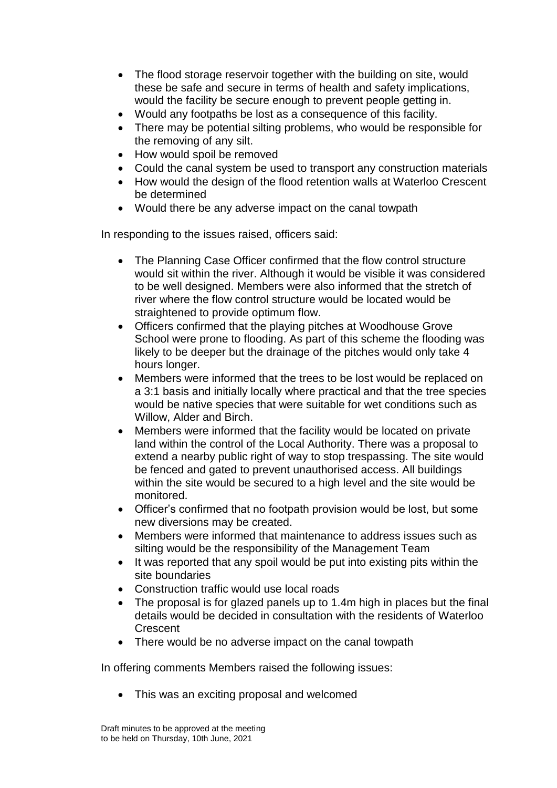- The flood storage reservoir together with the building on site, would these be safe and secure in terms of health and safety implications, would the facility be secure enough to prevent people getting in.
- Would any footpaths be lost as a consequence of this facility.
- There may be potential silting problems, who would be responsible for the removing of any silt.
- How would spoil be removed
- Could the canal system be used to transport any construction materials
- How would the design of the flood retention walls at Waterloo Crescent be determined
- Would there be any adverse impact on the canal towpath

In responding to the issues raised, officers said:

- The Planning Case Officer confirmed that the flow control structure would sit within the river. Although it would be visible it was considered to be well designed. Members were also informed that the stretch of river where the flow control structure would be located would be straightened to provide optimum flow.
- Officers confirmed that the playing pitches at Woodhouse Grove School were prone to flooding. As part of this scheme the flooding was likely to be deeper but the drainage of the pitches would only take 4 hours longer.
- Members were informed that the trees to be lost would be replaced on a 3:1 basis and initially locally where practical and that the tree species would be native species that were suitable for wet conditions such as Willow, Alder and Birch.
- Members were informed that the facility would be located on private land within the control of the Local Authority. There was a proposal to extend a nearby public right of way to stop trespassing. The site would be fenced and gated to prevent unauthorised access. All buildings within the site would be secured to a high level and the site would be monitored.
- Officer's confirmed that no footpath provision would be lost, but some new diversions may be created.
- Members were informed that maintenance to address issues such as silting would be the responsibility of the Management Team
- It was reported that any spoil would be put into existing pits within the site boundaries
- Construction traffic would use local roads
- The proposal is for glazed panels up to 1.4m high in places but the final details would be decided in consultation with the residents of Waterloo **Crescent**
- There would be no adverse impact on the canal towpath

In offering comments Members raised the following issues:

• This was an exciting proposal and welcomed